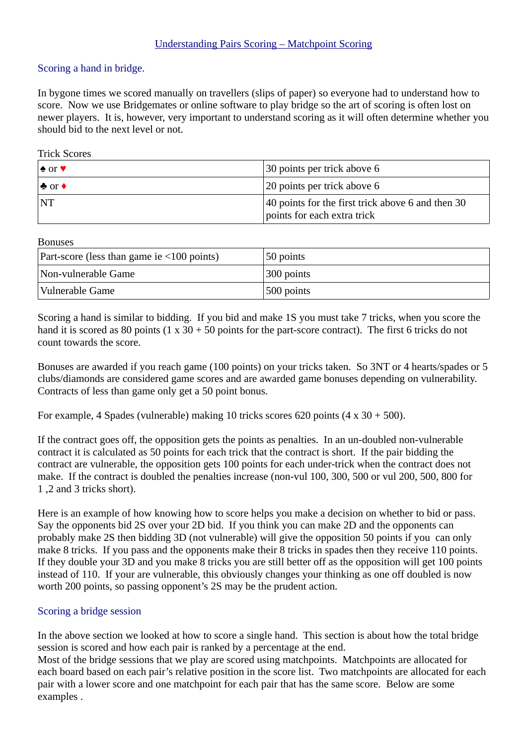## Understanding Pairs Scoring – Matchpoint Scoring

## Scoring a hand in bridge.

In bygone times we scored manually on travellers (slips of paper) so everyone had to understand how to score. Now we use Bridgemates or online software to play bridge so the art of scoring is often lost on newer players. It is, however, very important to understand scoring as it will often determine whether you should bid to the next level or not.

## Trick Scores

| $\triangle$ or $\blacktriangledown$ | 30 points per trick above 6                                                      |
|-------------------------------------|----------------------------------------------------------------------------------|
| $\clubsuit$ or $\spadesuit$         | 20 points per trick above 6                                                      |
| $\overline{\mathbf{N}}$             | 40 points for the first trick above 6 and then 30<br>points for each extra trick |

Bonuses

| Part-score (less than game ie $\leq 100$ points) | 50 points  |
|--------------------------------------------------|------------|
| Non-vulnerable Game                              | 300 points |
| Vulnerable Game                                  | 500 points |

Scoring a hand is similar to bidding. If you bid and make 1S you must take 7 tricks, when you score the hand it is scored as 80 points (1 x  $30 + 50$  points for the part-score contract). The first 6 tricks do not count towards the score.

Bonuses are awarded if you reach game (100 points) on your tricks taken. So 3NT or 4 hearts/spades or 5 clubs/diamonds are considered game scores and are awarded game bonuses depending on vulnerability. Contracts of less than game only get a 50 point bonus.

For example, 4 Spades (vulnerable) making 10 tricks scores 620 points (4 x 30 + 500).

If the contract goes off, the opposition gets the points as penalties. In an un-doubled non-vulnerable contract it is calculated as 50 points for each trick that the contract is short. If the pair bidding the contract are vulnerable, the opposition gets 100 points for each under-trick when the contract does not make. If the contract is doubled the penalties increase (non-vul 100, 300, 500 or vul 200, 500, 800 for 1 ,2 and 3 tricks short).

Here is an example of how knowing how to score helps you make a decision on whether to bid or pass. Say the opponents bid 2S over your 2D bid. If you think you can make 2D and the opponents can probably make 2S then bidding 3D (not vulnerable) will give the opposition 50 points if you can only make 8 tricks. If you pass and the opponents make their 8 tricks in spades then they receive 110 points. If they double your 3D and you make 8 tricks you are still better off as the opposition will get 100 points instead of 110. If your are vulnerable, this obviously changes your thinking as one off doubled is now worth 200 points, so passing opponent's 2S may be the prudent action.

## Scoring a bridge session

In the above section we looked at how to score a single hand. This section is about how the total bridge session is scored and how each pair is ranked by a percentage at the end.

Most of the bridge sessions that we play are scored using matchpoints. Matchpoints are allocated for each board based on each pair's relative position in the score list. Two matchpoints are allocated for each pair with a lower score and one matchpoint for each pair that has the same score. Below are some examples .